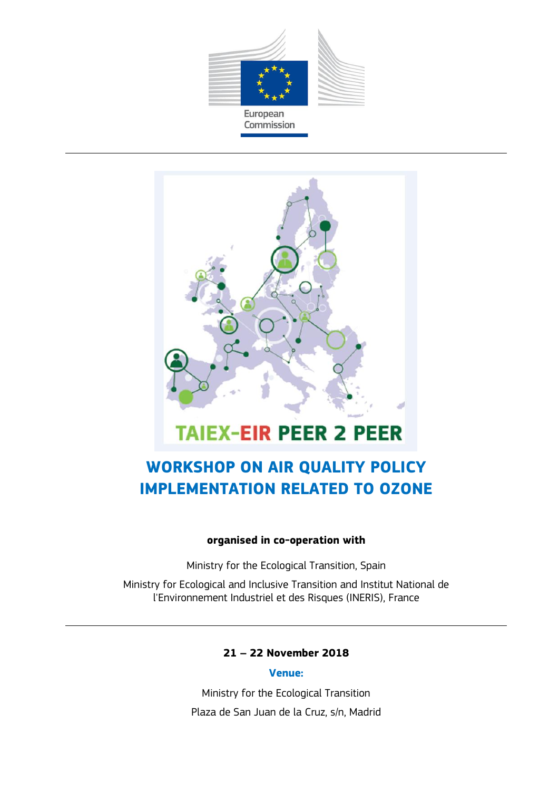



# **WORKSHOP ON AIR QUALITY POLICY IMPLEMENTATION RELATED TO OZONE**

#### **organised in co-operation with**

Ministry for the Ecological Transition, Spain

Ministry for Ecological and Inclusive Transition and Institut National de l'Environnement Industriel et des Risques (INERIS), France

#### **21 – 22 November 2018**

#### **Venue:**

Ministry for the Ecological Transition Plaza de San Juan de la Cruz, s/n, Madrid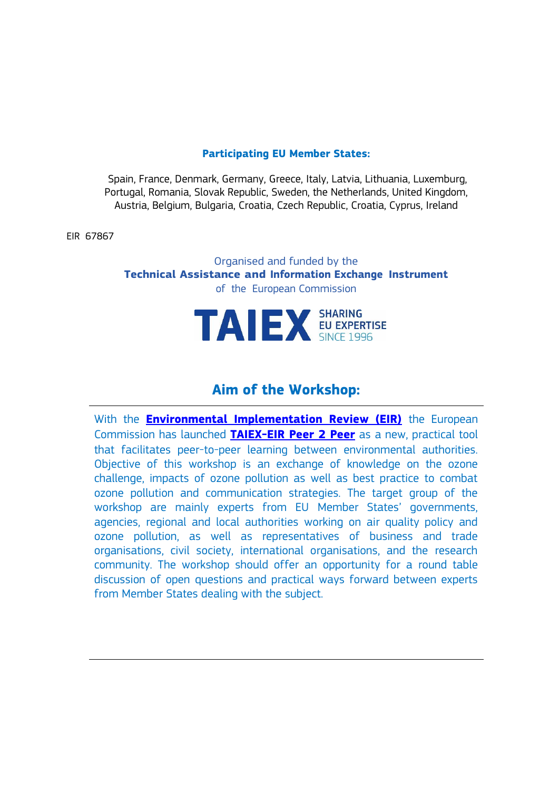#### **Participating EU Member States:**

Spain, France, Denmark, Germany, Greece, Italy, Latvia, Lithuania, Luxemburg, Portugal, Romania, Slovak Republic, Sweden, the Netherlands, United Kingdom, Austria, Belgium, Bulgaria, Croatia, Czech Republic, Croatia, Cyprus, Ireland

EIR 67867

Organised and funded by the **Technical Assistance and Information Exchange Instrument**  of the European Commission



### **Aim of the Workshop:**

With the **[Environmental Implementation Review \(EIR\)](http://ec.europa.eu/environment/eir/index_en.htm)** the European Commission has launched **[TAIEX-EIR Peer 2 Peer](http://ec.europa.eu/environment/eir/p2p/index_en.htm)** as a new, practical tool that facilitates peer-to-peer learning between environmental authorities. Objective of this workshop is an exchange of knowledge on the ozone challenge, impacts of ozone pollution as well as best practice to combat ozone pollution and communication strategies. The target group of the workshop are mainly experts from EU Member States' governments, agencies, regional and local authorities working on air quality policy and ozone pollution, as well as representatives of business and trade organisations, civil society, international organisations, and the research community. The workshop should offer an opportunity for a round table discussion of open questions and practical ways forward between experts from Member States dealing with the subject.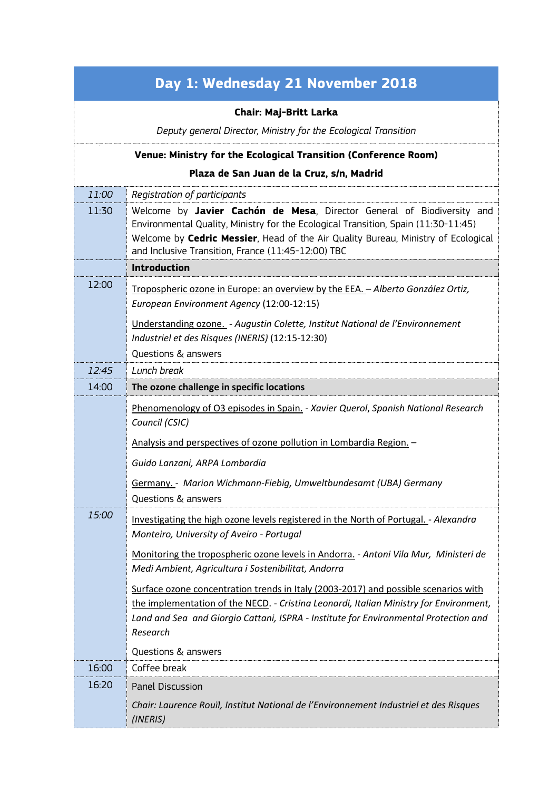| Day 1: Wednesday 21 November 2018                               |                                                                                                                                                                                                                                                                                                                                |  |
|-----------------------------------------------------------------|--------------------------------------------------------------------------------------------------------------------------------------------------------------------------------------------------------------------------------------------------------------------------------------------------------------------------------|--|
| Chair: Maj-Britt Larka                                          |                                                                                                                                                                                                                                                                                                                                |  |
|                                                                 | Deputy general Director, Ministry for the Ecological Transition                                                                                                                                                                                                                                                                |  |
| Venue: Ministry for the Ecological Transition (Conference Room) |                                                                                                                                                                                                                                                                                                                                |  |
| Plaza de San Juan de la Cruz, s/n, Madrid                       |                                                                                                                                                                                                                                                                                                                                |  |
| 11:00                                                           | Registration of participants                                                                                                                                                                                                                                                                                                   |  |
| 11:30                                                           | Welcome by Javier Cachón de Mesa, Director General of Biodiversity and<br>Environmental Quality, Ministry for the Ecological Transition, Spain (11:30-11:45)<br>Welcome by Cedric Messier, Head of the Air Quality Bureau, Ministry of Ecological<br>and Inclusive Transition, France (11:45-12:00) TBC<br><b>Introduction</b> |  |
| 12:00                                                           |                                                                                                                                                                                                                                                                                                                                |  |
|                                                                 | Tropospheric ozone in Europe: an overview by the EEA. - Alberto González Ortiz,<br>European Environment Agency (12:00-12:15)                                                                                                                                                                                                   |  |
|                                                                 | Understanding ozone. - Augustin Colette, Institut National de l'Environnement<br>Industriel et des Risques (INERIS) (12:15-12:30)                                                                                                                                                                                              |  |
|                                                                 | Questions & answers                                                                                                                                                                                                                                                                                                            |  |
| 12:45                                                           | Lunch break                                                                                                                                                                                                                                                                                                                    |  |
| 14:00                                                           | The ozone challenge in specific locations                                                                                                                                                                                                                                                                                      |  |
|                                                                 | Phenomenology of O3 episodes in Spain. - Xavier Querol, Spanish National Research<br>Council (CSIC)                                                                                                                                                                                                                            |  |
|                                                                 | Analysis and perspectives of ozone pollution in Lombardia Region. -                                                                                                                                                                                                                                                            |  |
|                                                                 | Guido Lanzani, ARPA Lombardia                                                                                                                                                                                                                                                                                                  |  |
|                                                                 | Germany. - Marion Wichmann-Fiebig, Umweltbundesamt (UBA) Germany<br>Questions & answers                                                                                                                                                                                                                                        |  |
| 15:00                                                           | Investigating the high ozone levels registered in the North of Portugal. - Alexandra<br>Monteiro, University of Aveiro - Portugal                                                                                                                                                                                              |  |
|                                                                 | Monitoring the tropospheric ozone levels in Andorra. - Antoni Vila Mur, Ministeri de<br>Medi Ambient, Agricultura i Sostenibilitat, Andorra                                                                                                                                                                                    |  |
|                                                                 | Surface ozone concentration trends in Italy (2003-2017) and possible scenarios with                                                                                                                                                                                                                                            |  |
|                                                                 | the implementation of the NECD. - Cristina Leonardi, Italian Ministry for Environment,                                                                                                                                                                                                                                         |  |
|                                                                 | Land and Sea and Giorgio Cattani, ISPRA - Institute for Environmental Protection and<br>Research                                                                                                                                                                                                                               |  |
|                                                                 | Questions & answers                                                                                                                                                                                                                                                                                                            |  |
| 16:00                                                           | Coffee break                                                                                                                                                                                                                                                                                                                   |  |
| 16:20                                                           | Panel Discussion                                                                                                                                                                                                                                                                                                               |  |
|                                                                 | Chair: Laurence Rouil, Institut National de l'Environnement Industriel et des Risques<br>(INERIS)                                                                                                                                                                                                                              |  |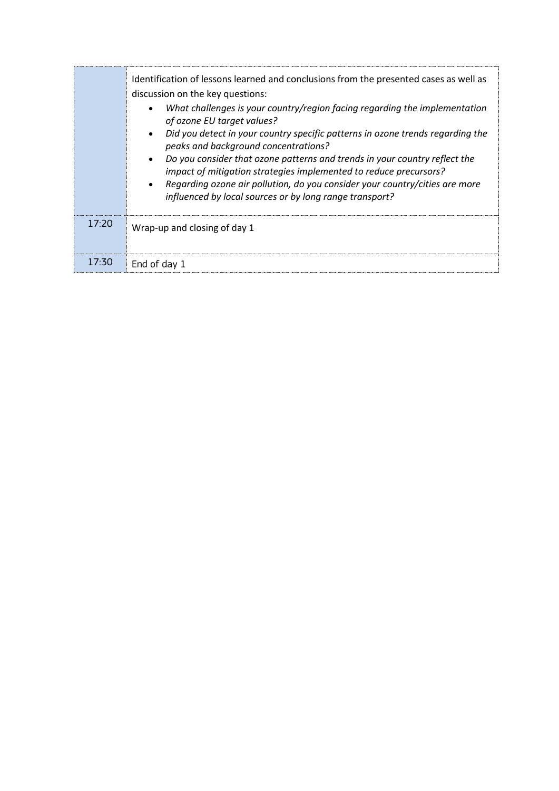|       | Identification of lessons learned and conclusions from the presented cases as well as<br>discussion on the key questions:<br>What challenges is your country/region facing regarding the implementation<br>$\bullet$<br>of ozone EU target values?<br>Did you detect in your country specific patterns in ozone trends regarding the<br>$\bullet$<br>peaks and background concentrations?<br>Do you consider that ozone patterns and trends in your country reflect the<br>$\bullet$<br>impact of mitigation strategies implemented to reduce precursors?<br>Regarding ozone air pollution, do you consider your country/cities are more<br>$\bullet$<br>influenced by local sources or by long range transport? |
|-------|------------------------------------------------------------------------------------------------------------------------------------------------------------------------------------------------------------------------------------------------------------------------------------------------------------------------------------------------------------------------------------------------------------------------------------------------------------------------------------------------------------------------------------------------------------------------------------------------------------------------------------------------------------------------------------------------------------------|
| 17.20 | Wrap-up and closing of day 1                                                                                                                                                                                                                                                                                                                                                                                                                                                                                                                                                                                                                                                                                     |
| 17:30 | End of day 1                                                                                                                                                                                                                                                                                                                                                                                                                                                                                                                                                                                                                                                                                                     |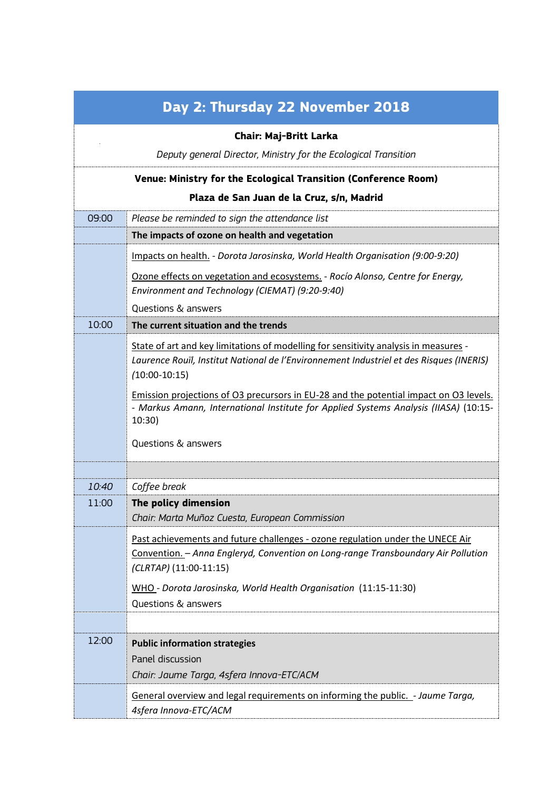| Day 2: Thursday 22 November 2018                                |                                                                                                                                                                                                    |  |
|-----------------------------------------------------------------|----------------------------------------------------------------------------------------------------------------------------------------------------------------------------------------------------|--|
| <b>Chair: Maj-Britt Larka</b>                                   |                                                                                                                                                                                                    |  |
|                                                                 | Deputy general Director, Ministry for the Ecological Transition                                                                                                                                    |  |
| Venue: Ministry for the Ecological Transition (Conference Room) |                                                                                                                                                                                                    |  |
| Plaza de San Juan de la Cruz, s/n, Madrid                       |                                                                                                                                                                                                    |  |
| 09:00                                                           | Please be reminded to sign the attendance list                                                                                                                                                     |  |
|                                                                 | The impacts of ozone on health and vegetation                                                                                                                                                      |  |
|                                                                 | Impacts on health. - Dorota Jarosinska, World Health Organisation (9:00-9:20)                                                                                                                      |  |
|                                                                 | Ozone effects on vegetation and ecosystems. - Rocío Alonso, Centre for Energy,<br>Environment and Technology (CIEMAT) (9:20-9:40)                                                                  |  |
|                                                                 | <b>Questions &amp; answers</b>                                                                                                                                                                     |  |
| 10:00                                                           | The current situation and the trends                                                                                                                                                               |  |
|                                                                 | State of art and key limitations of modelling for sensitivity analysis in measures -<br>Laurence Rouïl, Institut National de l'Environnement Industriel et des Risques (INERIS)<br>$(10:00-10:15)$ |  |
|                                                                 | Emission projections of O3 precursors in EU-28 and the potential impact on O3 levels.<br>- Markus Amann, International Institute for Applied Systems Analysis (IIASA) (10:15-<br>10:30)            |  |
|                                                                 | Questions & answers                                                                                                                                                                                |  |
|                                                                 |                                                                                                                                                                                                    |  |
| 10:40                                                           | Coffee break                                                                                                                                                                                       |  |
| 11:00                                                           | The policy dimension<br>Chair: Marta Muñoz Cuesta, European Commission                                                                                                                             |  |
|                                                                 | Past achievements and future challenges - ozone regulation under the UNECE Air<br>Convention. - Anna Engleryd, Convention on Long-range Transboundary Air Pollution<br>(CLRTAP) (11:00-11:15)      |  |
|                                                                 | WHO - Dorota Jarosinska, World Health Organisation (11:15-11:30)<br>Questions & answers                                                                                                            |  |
|                                                                 |                                                                                                                                                                                                    |  |
| 12:00                                                           | <b>Public information strategies</b><br>Panel discussion                                                                                                                                           |  |
|                                                                 | Chair: Jaume Targa, 4sfera Innova-ETC/ACM                                                                                                                                                          |  |
|                                                                 | General overview and legal requirements on informing the public. - Jaume Targa,<br>4sfera Innova-ETC/ACM                                                                                           |  |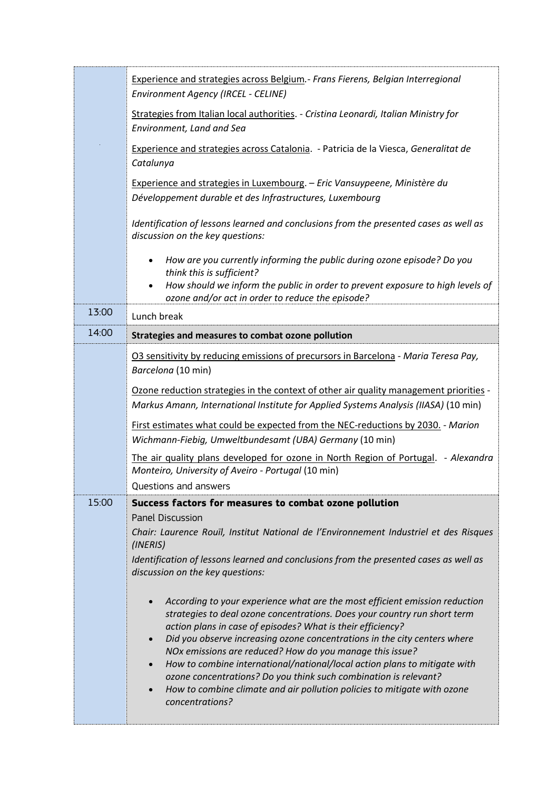|       | Experience and strategies across Belgium.- Frans Fierens, Belgian Interregional<br>Environment Agency (IRCEL - CELINE)                                                                                                                                                                                                                                                                                                                                                                                                                                                                                                                                               |
|-------|----------------------------------------------------------------------------------------------------------------------------------------------------------------------------------------------------------------------------------------------------------------------------------------------------------------------------------------------------------------------------------------------------------------------------------------------------------------------------------------------------------------------------------------------------------------------------------------------------------------------------------------------------------------------|
|       | Strategies from Italian local authorities. - Cristina Leonardi, Italian Ministry for<br>Environment, Land and Sea                                                                                                                                                                                                                                                                                                                                                                                                                                                                                                                                                    |
|       | Experience and strategies across Catalonia. - Patricia de la Viesca, Generalitat de<br>Catalunya                                                                                                                                                                                                                                                                                                                                                                                                                                                                                                                                                                     |
|       | Experience and strategies in Luxembourg. - Eric Vansuypeene, Ministère du<br>Développement durable et des Infrastructures, Luxembourg                                                                                                                                                                                                                                                                                                                                                                                                                                                                                                                                |
|       | Identification of lessons learned and conclusions from the presented cases as well as<br>discussion on the key questions:                                                                                                                                                                                                                                                                                                                                                                                                                                                                                                                                            |
|       | How are you currently informing the public during ozone episode? Do you<br>think this is sufficient?<br>How should we inform the public in order to prevent exposure to high levels of<br>ozone and/or act in order to reduce the episode?                                                                                                                                                                                                                                                                                                                                                                                                                           |
| 13:00 | Lunch break                                                                                                                                                                                                                                                                                                                                                                                                                                                                                                                                                                                                                                                          |
| 14:00 | Strategies and measures to combat ozone pollution                                                                                                                                                                                                                                                                                                                                                                                                                                                                                                                                                                                                                    |
|       | O3 sensitivity by reducing emissions of precursors in Barcelona - Maria Teresa Pay,<br>Barcelona (10 min)                                                                                                                                                                                                                                                                                                                                                                                                                                                                                                                                                            |
|       | Ozone reduction strategies in the context of other air quality management priorities -                                                                                                                                                                                                                                                                                                                                                                                                                                                                                                                                                                               |
|       | Markus Amann, International Institute for Applied Systems Analysis (IIASA) (10 min)                                                                                                                                                                                                                                                                                                                                                                                                                                                                                                                                                                                  |
|       | First estimates what could be expected from the NEC-reductions by 2030. - Marion<br>Wichmann-Fiebig, Umweltbundesamt (UBA) Germany (10 min)                                                                                                                                                                                                                                                                                                                                                                                                                                                                                                                          |
|       | The air quality plans developed for ozone in North Region of Portugal. - Alexandra<br>Monteiro, University of Aveiro - Portugal (10 min)                                                                                                                                                                                                                                                                                                                                                                                                                                                                                                                             |
|       | Questions and answers                                                                                                                                                                                                                                                                                                                                                                                                                                                                                                                                                                                                                                                |
| 15:00 | Success factors for measures to combat ozone pollution<br><b>Panel Discussion</b>                                                                                                                                                                                                                                                                                                                                                                                                                                                                                                                                                                                    |
|       | Chair: Laurence Rouïl, Institut National de l'Environnement Industriel et des Risques<br>(INERIS)                                                                                                                                                                                                                                                                                                                                                                                                                                                                                                                                                                    |
|       | Identification of lessons learned and conclusions from the presented cases as well as<br>discussion on the key questions:                                                                                                                                                                                                                                                                                                                                                                                                                                                                                                                                            |
|       | According to your experience what are the most efficient emission reduction<br>$\bullet$<br>strategies to deal ozone concentrations. Does your country run short term<br>action plans in case of episodes? What is their efficiency?<br>Did you observe increasing ozone concentrations in the city centers where<br>$\bullet$<br>NOx emissions are reduced? How do you manage this issue?<br>How to combine international/national/local action plans to mitigate with<br>$\bullet$<br>ozone concentrations? Do you think such combination is relevant?<br>How to combine climate and air pollution policies to mitigate with ozone<br>$\bullet$<br>concentrations? |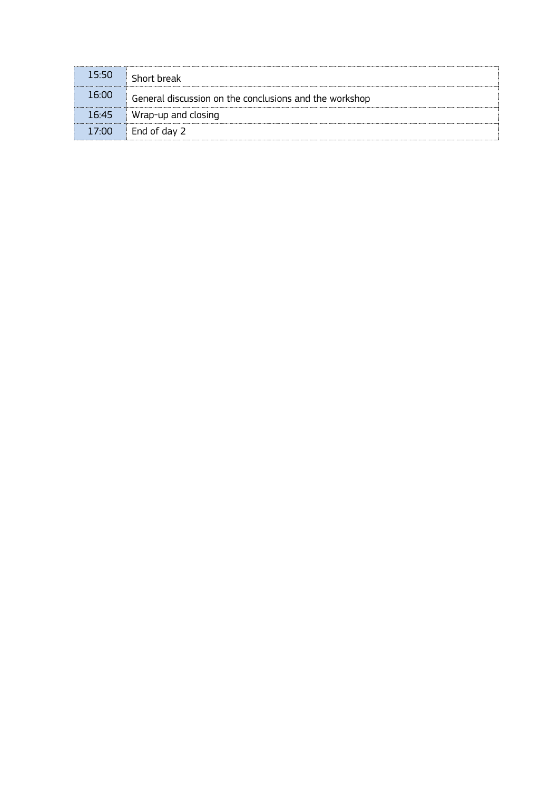| 15:50 | Short break                                            |
|-------|--------------------------------------------------------|
| 16:00 | General discussion on the conclusions and the workshop |
| 16.45 | Wrap-up and closing                                    |
| 17.00 | $\Box$ End of day 2                                    |